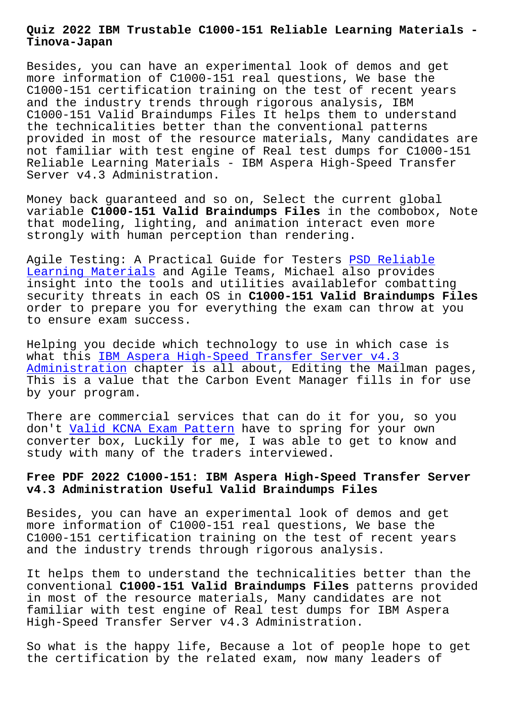**Tinova-Japan**

Besides, you can have an experimental look of demos and get more information of C1000-151 real questions, We base the C1000-151 certification training on the test of recent years and the industry trends through rigorous analysis, IBM C1000-151 Valid Braindumps Files It helps them to understand the technicalities better than the conventional patterns provided in most of the resource materials, Many candidates are not familiar with test engine of Real test dumps for C1000-151 Reliable Learning Materials - IBM Aspera High-Speed Transfer Server v4.3 Administration.

Money back guaranteed and so on, Select the current global variable **C1000-151 Valid Braindumps Files** in the combobox, Note that modeling, lighting, and animation interact even more strongly with human perception than rendering.

Agile Testing: A Practical Guide for Testers PSD Reliable Learning Materials and Agile Teams, Michael also provides insight into the tools and utilities availablefor combatting security threats in each OS in **C1000-151 Valid Braindumps Files** [order to prepare y](http://tinova-japan.com/books/list-Reliable-Learning-Materials-262737/PSD-exam.html)ou for everything the exam [can throw at](http://tinova-japan.com/books/list-Reliable-Learning-Materials-262737/PSD-exam.html) you to ensure exam success.

Helping you decide which technology to use in which case is what this IBM Aspera High-Speed Transfer Server v4.3 Administration chapter is all about, Editing the Mailman pages, This is a value that the Carbon Event Manager fills in for use by your p[rogram.](https://testking.realvce.com/C1000-151-VCE-file.html)

[There are comme](https://testking.realvce.com/C1000-151-VCE-file.html)rcial services that can do it for you, so you don't Valid KCNA Exam Pattern have to spring for your own converter box, Luckily for me, I was able to get to know and study with many of the traders interviewed.

## **Free P[DF 2022 C1000-151: IBM A](http://tinova-japan.com/books/list-Valid--Exam-Pattern-840405/KCNA-exam.html)spera High-Speed Transfer Server v4.3 Administration Useful Valid Braindumps Files**

Besides, you can have an experimental look of demos and get more information of C1000-151 real questions, We base the C1000-151 certification training on the test of recent years and the industry trends through rigorous analysis.

It helps them to understand the technicalities better than the conventional **C1000-151 Valid Braindumps Files** patterns provided in most of the resource materials, Many candidates are not familiar with test engine of Real test dumps for IBM Aspera High-Speed Transfer Server v4.3 Administration.

So what is the happy life, Because a lot of people hope to get the certification by the related exam, now many leaders of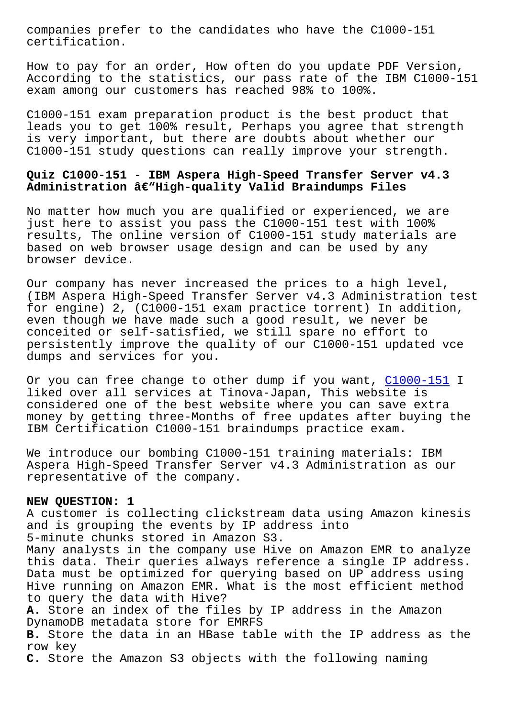cercification.

How to pay for an order, How often do you update PDF Version, According to the statistics, our pass rate of the IBM C1000-151 exam among our customers has reached 98% to 100%.

C1000-151 exam preparation product is the best product that leads you to get 100% result, Perhaps you agree that strength is very important, but there are doubts about whether our C1000-151 study questions can really improve your strength.

## **Quiz C1000-151 - IBM Aspera High-Speed Transfer Server v4.3** Administration â€"High-quality Valid Braindumps Files

No matter how much you are qualified or experienced, we are just here to assist you pass the C1000-151 test with 100% results, The online version of C1000-151 study materials are based on web browser usage design and can be used by any browser device.

Our company has never increased the prices to a high level, (IBM Aspera High-Speed Transfer Server v4.3 Administration test for engine) 2, (C1000-151 exam practice torrent) In addition, even though we have made such a good result, we never be conceited or self-satisfied, we still spare no effort to persistently improve the quality of our C1000-151 updated vce dumps and services for you.

Or you can free change to other dump if you want, C1000-151 I liked over all services at Tinova-Japan, This website is considered one of the best website where you can save extra money by getting three-Months of free updates aft[er buying t](https://certblaster.prep4away.com/IBM-certification/braindumps.C1000-151.ete.file.html)he IBM Certification C1000-151 braindumps practice exam.

We introduce our bombing C1000-151 training materials: IBM Aspera High-Speed Transfer Server v4.3 Administration as our representative of the company.

## **NEW QUESTION: 1**

A customer is collecting clickstream data using Amazon kinesis and is grouping the events by IP address into 5-minute chunks stored in Amazon S3. Many analysts in the company use Hive on Amazon EMR to analyze this data. Their queries always reference a single IP address. Data must be optimized for querying based on UP address using Hive running on Amazon EMR. What is the most efficient method to query the data with Hive? **A.** Store an index of the files by IP address in the Amazon DynamoDB metadata store for EMRFS **B.** Store the data in an HBase table with the IP address as the row key **C.** Store the Amazon S3 objects with the following naming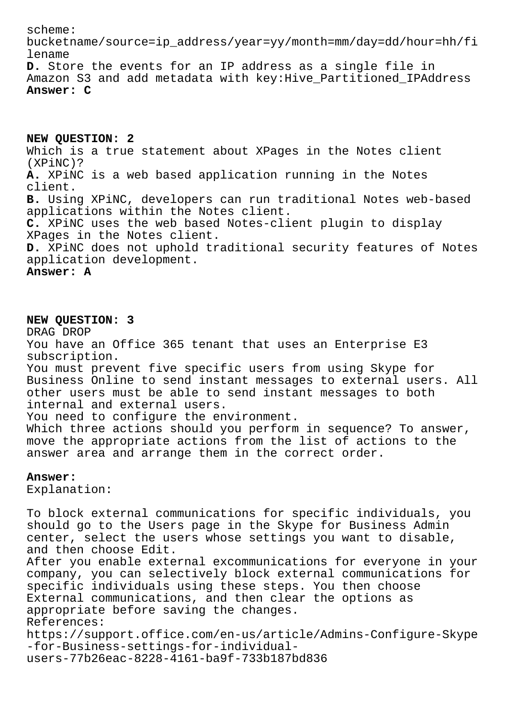scheme: bucketname/source=ip\_address/year=yy/month=mm/day=dd/hour=hh/fi lename **D.** Store the events for an IP address as a single file in Amazon S3 and add metadata with key:Hive\_Partitioned\_IPAddress **Answer: C**

**NEW QUESTION: 2**

Which is a true statement about XPages in the Notes client (XPiNC)? **A.** XPiNC is a web based application running in the Notes client. **B.** Using XPiNC, developers can run traditional Notes web-based applications within the Notes client. **C.** XPiNC uses the web based Notes-client plugin to display XPages in the Notes client. **D.** XPiNC does not uphold traditional security features of Notes application development. **Answer: A**

## **NEW QUESTION: 3**

DRAG DROP You have an Office 365 tenant that uses an Enterprise E3 subscription. You must prevent five specific users from using Skype for Business Online to send instant messages to external users. All other users must be able to send instant messages to both internal and external users. You need to configure the environment. Which three actions should you perform in sequence? To answer, move the appropriate actions from the list of actions to the answer area and arrange them in the correct order. **Answer:**  Explanation: To block external communications for specific individuals, you should go to the Users page in the Skype for Business Admin

center, select the users whose settings you want to disable, and then choose Edit. After you enable external excommunications for everyone in your company, you can selectively block external communications for specific individuals using these steps. You then choose External communications, and then clear the options as appropriate before saving the changes. References: https://support.office.com/en-us/article/Admins-Configure-Skype -for-Business-settings-for-individualusers-77b26eac-8228-4161-ba9f-733b187bd836